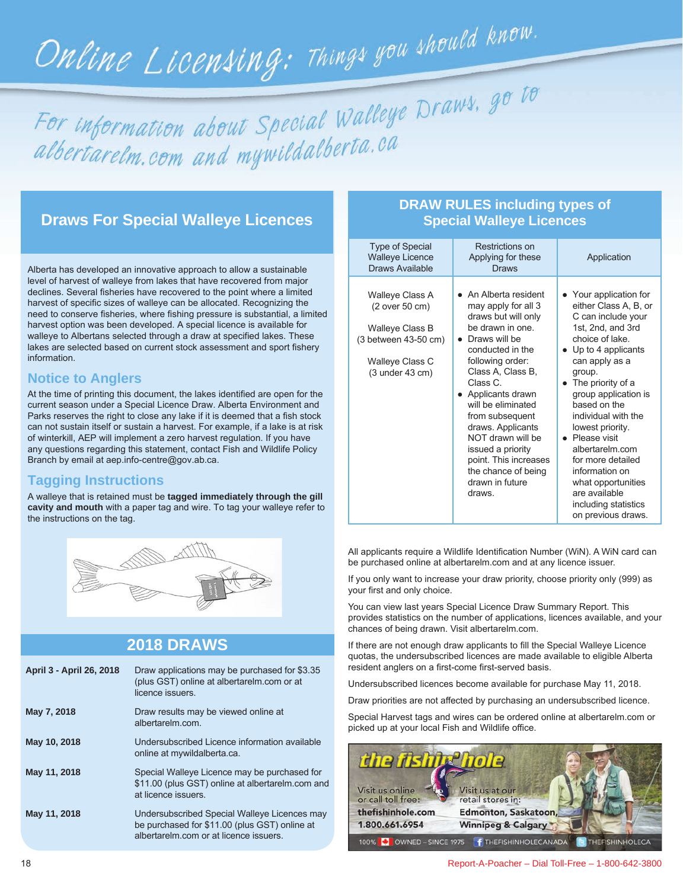# Online Licensing: Things you should know.

For information about Special Walleye Draws, go to albertarelm.com and mywildalberta.ca

# **Draws For Special Walleye Licences**

Alberta has developed an innovative approach to allow a sustainable level of harvest of walleye from lakes that have recovered from major declines. Several fisheries have recovered to the point where a limited harvest of specific sizes of walleye can be allocated. Recognizing the need to conserve fisheries, where fishing pressure is substantial, a limited harvest option was been developed. A special licence is available for walleye to Albertans selected through a draw at specified lakes. These lakes are selected based on current stock assessment and sport fishery information.

## **Notice to Anglers**

At the time of printing this document, the lakes identified are open for the current season under a Special Licence Draw. Alberta Environment and Parks reserves the right to close any lake if it is deemed that a fish stock can not sustain itself or sustain a harvest. For example, if a lake is at risk of winterkill, AEP will implement a zero harvest regulation. If you have any questions regarding this statement, contact Fish and Wildlife Policy Branch by email at aep.info-centre@gov.ab.ca.

### **Tagging Instructions**

A walleye that is retained must be **tagged immediately through the gill cavity and mouth** with a paper tag and wire. To tag your walleye refer to the instructions on the tag.



# **2018 DRAWS**

| April 3 - April 26, 2018 | Draw applications may be purchased for \$3.35<br>(plus GST) online at albertarelm.com or at<br>licence issuers                         |
|--------------------------|----------------------------------------------------------------------------------------------------------------------------------------|
| May 7, 2018              | Draw results may be viewed online at<br>albertarelm com                                                                                |
| May 10, 2018             | Undersubscribed Licence information available<br>online at mywildalberta.ca.                                                           |
| May 11, 2018             | Special Walleye Licence may be purchased for<br>\$11.00 (plus GST) online at albertarelm.com and<br>at licence issuers                 |
| May 11, 2018             | Undersubscribed Special Walleye Licences may<br>be purchased for \$11.00 (plus GST) online at<br>albertarelm com or at licence issuers |

# **DRAW RULES including types of Special Walleye Licences**

| <b>Type of Special</b><br><b>Walleye Licence</b><br>Draws Available                                                    | Restrictions on<br>Applying for these<br>Draws                                                                                                                                                                                                                                                                                                                                            | Application                                                                                                                                                                                                                                                                                                                                                                                                                                       |  |
|------------------------------------------------------------------------------------------------------------------------|-------------------------------------------------------------------------------------------------------------------------------------------------------------------------------------------------------------------------------------------------------------------------------------------------------------------------------------------------------------------------------------------|---------------------------------------------------------------------------------------------------------------------------------------------------------------------------------------------------------------------------------------------------------------------------------------------------------------------------------------------------------------------------------------------------------------------------------------------------|--|
| Walleye Class A<br>(2 over 50 cm)<br>Walleye Class B<br>(3 between 43-50 cm)<br>Walleye Class C<br>$(3$ under $43$ cm) | • An Alberta resident<br>may apply for all 3<br>draws but will only<br>be drawn in one.<br>Draws will be<br>conducted in the<br>following order:<br>Class A, Class B,<br>Class C<br>Applicants drawn<br>will be eliminated<br>from subsequent<br>draws. Applicants<br>NOT drawn will be<br>issued a priority<br>point. This increases<br>the chance of being<br>drawn in future<br>draws. | • Your application for<br>either Class A, B, or<br>C can include your<br>1st, 2nd, and 3rd<br>choice of lake<br>$\bullet$ Up to 4 applicants<br>can apply as a<br>group.<br>The priority of a<br>group application is<br>based on the<br>individual with the<br>lowest priority.<br>• Please visit<br>albertarelm.com<br>for more detailed<br>information on<br>what opportunities<br>are available<br>including statistics<br>on previous draws. |  |

All applicants require a Wildlife Identification Number (WiN). A WiN card can be purchased online at albertarelm.com and at any licence issuer.

If you only want to increase your draw priority, choose priority only (999) as your first and only choice.

You can view last years Special Licence Draw Summary Report. This provides statistics on the number of applications, licences available, and your chances of being drawn. Visit albertarelm.com.

If there are not enough draw applicants to fill the Special Walleye Licence quotas, the undersubscribed licences are made available to eligible Alberta resident anglers on a first-come first-served basis.

Undersubscribed licences become available for purchase May 11, 2018.

Draw priorities are not affected by purchasing an undersubscribed licence.

Special Harvest tags and wires can be ordered online at albertarelm.com or picked up at your local Fish and Wildlife office.